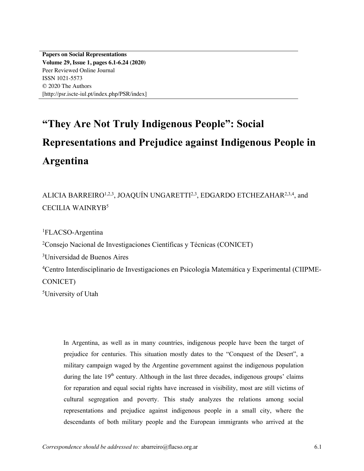**Papers on Social Representations Volume 29, Issue 1, pages 6.1-6.24 (2020)** Peer Reviewed Online Journal ISSN 1021-5573 © 2020 The Authors [http://psr.iscte-iul.pt/index.php/PSR/index]

# **"They Are Not Truly Indigenous People": Social Representations and Prejudice against Indigenous People in Argentina**

# ALICIA BARREIRO<sup>1,2,3</sup>, JOAQUÍN UNGARETTI<sup>2,3</sup>, EDGARDO ETCHEZAHAR<sup>2,3,4</sup>, and CECILIA WAINRYB5

1 FLACSO-Argentina

2 Consejo Nacional de Investigaciones Científicas y Técnicas (CONICET)

3 Universidad de Buenos Aires

4 Centro Interdisciplinario de Investigaciones en Psicología Matemática y Experimental (CIIPME-CONICET)

5 University of Utah

In Argentina, as well as in many countries, indigenous people have been the target of prejudice for centuries. This situation mostly dates to the "Conquest of the Desert", a military campaign waged by the Argentine government against the indigenous population during the late  $19<sup>th</sup>$  century. Although in the last three decades, indigenous groups' claims for reparation and equal social rights have increased in visibility, most are still victims of cultural segregation and poverty. This study analyzes the relations among social representations and prejudice against indigenous people in a small city, where the descendants of both military people and the European immigrants who arrived at the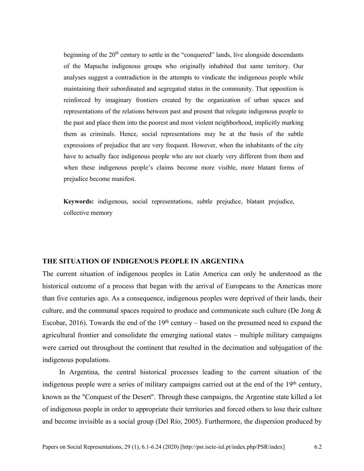beginning of the  $20<sup>th</sup>$  century to settle in the "conquered" lands, live alongside descendants of the Mapuche indigenous groups who originally inhabited that same territory. Our analyses suggest a contradiction in the attempts to vindicate the indigenous people while maintaining their subordinated and segregated status in the community. That opposition is reinforced by imaginary frontiers created by the organization of urban spaces and representations of the relations between past and present that relegate indigenous people to the past and place them into the poorest and most violent neighborhood, implicitly marking them as criminals. Hence, social representations may be at the basis of the subtle expressions of prejudice that are very frequent. However, when the inhabitants of the city have to actually face indigenous people who are not clearly very different from them and when these indigenous people's claims become more visible, more blatant forms of prejudice become manifest.

**Keywords:** indigenous, social representations, subtle prejudice, blatant prejudice, collective memory

## **THE SITUATION OF INDIGENOUS PEOPLE IN ARGENTINA**

The current situation of indigenous peoples in Latin America can only be understood as the historical outcome of a process that began with the arrival of Europeans to the Americas more than five centuries ago. As a consequence, indigenous peoples were deprived of their lands, their culture, and the communal spaces required to produce and communicate such culture (De Jong & Escobar, 2016). Towards the end of the  $19<sup>th</sup>$  century – based on the presumed need to expand the agricultural frontier and consolidate the emerging national states – multiple military campaigns were carried out throughout the continent that resulted in the decimation and subjugation of the indigenous populations.

In Argentina, the central historical processes leading to the current situation of the indigenous people were a series of military campaigns carried out at the end of the 19<sup>th</sup> century, known as the "Conquest of the Desert". Through these campaigns, the Argentine state killed a lot of indigenous people in order to appropriate their territories and forced others to lose their culture and become invisible as a social group (Del Río, 2005). Furthermore, the dispersion produced by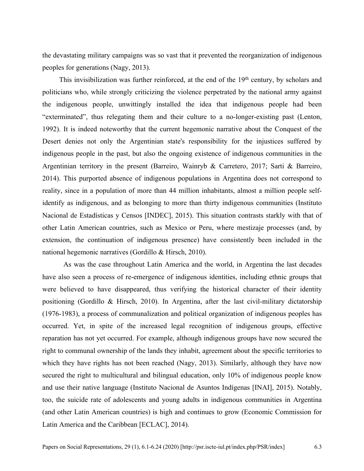the devastating military campaigns was so vast that it prevented the reorganization of indigenous peoples for generations (Nagy, 2013).

This invisibilization was further reinforced, at the end of the  $19<sup>th</sup>$  century, by scholars and politicians who, while strongly criticizing the violence perpetrated by the national army against the indigenous people, unwittingly installed the idea that indigenous people had been "exterminated", thus relegating them and their culture to a no-longer-existing past (Lenton, 1992). It is indeed noteworthy that the current hegemonic narrative about the Conquest of the Desert denies not only the Argentinian state's responsibility for the injustices suffered by indigenous people in the past, but also the ongoing existence of indigenous communities in the Argentinian territory in the present (Barreiro, Wainryb & Carretero, 2017; Sarti & Barreiro, 2014). This purported absence of indigenous populations in Argentina does not correspond to reality, since in a population of more than 44 million inhabitants, almost a million people selfidentify as indigenous, and as belonging to more than thirty indigenous communities (Instituto Nacional de Estadísticas y Censos [INDEC], 2015). This situation contrasts starkly with that of other Latin American countries, such as Mexico or Peru, where mestizaje processes (and, by extension, the continuation of indigenous presence) have consistently been included in the national hegemonic narratives (Gordillo & Hirsch, 2010).

As was the case throughout Latin America and the world, in Argentina the last decades have also seen a process of re-emergence of indigenous identities, including ethnic groups that were believed to have disappeared, thus verifying the historical character of their identity positioning (Gordillo & Hirsch, 2010). In Argentina, after the last civil-military dictatorship (1976-1983), a process of communalization and political organization of indigenous peoples has occurred. Yet, in spite of the increased legal recognition of indigenous groups, effective reparation has not yet occurred. For example, although indigenous groups have now secured the right to communal ownership of the lands they inhabit, agreement about the specific territories to which they have rights has not been reached (Nagy, 2013). Similarly, although they have now secured the right to multicultural and bilingual education, only 10% of indigenous people know and use their native language (Instituto Nacional de Asuntos Indígenas [INAI], 2015). Notably, too, the suicide rate of adolescents and young adults in indigenous communities in Argentina (and other Latin American countries) is high and continues to grow (Economic Commission for Latin America and the Caribbean [ECLAC], 2014).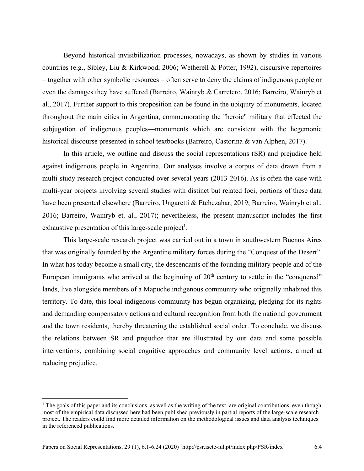Beyond historical invisibilization processes, nowadays, as shown by studies in various countries (e.g., Sibley, Liu & Kirkwood, 2006; Wetherell & Potter, 1992), discursive repertoires – together with other symbolic resources – often serve to deny the claims of indigenous people or even the damages they have suffered (Barreiro, Wainryb & Carretero, 2016; Barreiro, Wainryb et al., 2017). Further support to this proposition can be found in the ubiquity of monuments, located throughout the main cities in Argentina, commemorating the "heroic" military that effected the subjugation of indigenous peoples—monuments which are consistent with the hegemonic historical discourse presented in school textbooks (Barreiro, Castorina & van Alphen, 2017).

In this article, we outline and discuss the social representations (SR) and prejudice held against indigenous people in Argentina. Our analyses involve a corpus of data drawn from a multi-study research project conducted over several years (2013-2016). As is often the case with multi-year projects involving several studies with distinct but related foci, portions of these data have been presented elsewhere (Barreiro, Ungaretti & Etchezahar, 2019; Barreiro, Wainryb et al., 2016; Barreiro, Wainryb et. al., 2017); nevertheless, the present manuscript includes the first exhaustive presentation of this large-scale project<sup>1</sup>.

This large-scale research project was carried out in a town in southwestern Buenos Aires that was originally founded by the Argentine military forces during the "Conquest of the Desert". In what has today become a small city, the descendants of the founding military people and of the European immigrants who arrived at the beginning of  $20<sup>th</sup>$  century to settle in the "conquered" lands, live alongside members of a Mapuche indigenous community who originally inhabited this territory. To date, this local indigenous community has begun organizing, pledging for its rights and demanding compensatory actions and cultural recognition from both the national government and the town residents, thereby threatening the established social order. To conclude, we discuss the relations between SR and prejudice that are illustrated by our data and some possible interventions, combining social cognitive approaches and community level actions, aimed at reducing prejudice.

 $<sup>1</sup>$  The goals of this paper and its conclusions, as well as the writing of the text, are original contributions, even though</sup> most of the empirical data discussed here had been published previously in partial reports of the large-scale research project. The readers could find more detailed information on the methodological issues and data analysis techniques in the referenced publications.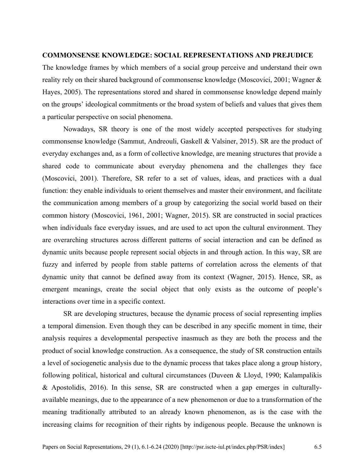### **COMMONSENSE KNOWLEDGE: SOCIAL REPRESENTATIONS AND PREJUDICE**

The knowledge frames by which members of a social group perceive and understand their own reality rely on their shared background of commonsense knowledge (Moscovici, 2001; Wagner & Hayes, 2005). The representations stored and shared in commonsense knowledge depend mainly on the groups' ideological commitments or the broad system of beliefs and values that gives them a particular perspective on social phenomena.

Nowadays, SR theory is one of the most widely accepted perspectives for studying commonsense knowledge (Sammut, Andreouli, Gaskell & Valsiner, 2015). SR are the product of everyday exchanges and, as a form of collective knowledge, are meaning structures that provide a shared code to communicate about everyday phenomena and the challenges they face (Moscovici, 2001). Therefore, SR refer to a set of values, ideas, and practices with a dual function: they enable individuals to orient themselves and master their environment, and facilitate the communication among members of a group by categorizing the social world based on their common history (Moscovici, 1961, 2001; Wagner, 2015). SR are constructed in social practices when individuals face everyday issues, and are used to act upon the cultural environment. They are overarching structures across different patterns of social interaction and can be defined as dynamic units because people represent social objects in and through action. In this way, SR are fuzzy and inferred by people from stable patterns of correlation across the elements of that dynamic unity that cannot be defined away from its context (Wagner, 2015). Hence, SR, as emergent meanings, create the social object that only exists as the outcome of people's interactions over time in a specific context.

SR are developing structures, because the dynamic process of social representing implies a temporal dimension. Even though they can be described in any specific moment in time, their analysis requires a developmental perspective inasmuch as they are both the process and the product of social knowledge construction. As a consequence, the study of SR construction entails a level of sociogenetic analysis due to the dynamic process that takes place along a group history, following political, historical and cultural circumstances (Duveen & Lloyd, 1990; Kalampalikis & Apostolidis, 2016). In this sense, SR are constructed when a gap emerges in culturallyavailable meanings, due to the appearance of a new phenomenon or due to a transformation of the meaning traditionally attributed to an already known phenomenon, as is the case with the increasing claims for recognition of their rights by indigenous people. Because the unknown is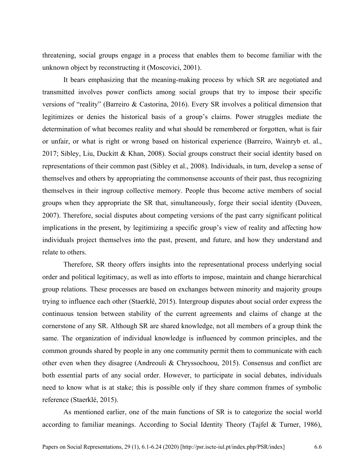threatening, social groups engage in a process that enables them to become familiar with the unknown object by reconstructing it (Moscovici, 2001).

It bears emphasizing that the meaning-making process by which SR are negotiated and transmitted involves power conflicts among social groups that try to impose their specific versions of "reality" (Barreiro & Castorina, 2016). Every SR involves a political dimension that legitimizes or denies the historical basis of a group's claims. Power struggles mediate the determination of what becomes reality and what should be remembered or forgotten, what is fair or unfair, or what is right or wrong based on historical experience (Barreiro, Wainryb et. al., 2017; Sibley, Liu, Duckitt & Khan, 2008). Social groups construct their social identity based on representations of their common past (Sibley et al., 2008). Individuals, in turn, develop a sense of themselves and others by appropriating the commonsense accounts of their past, thus recognizing themselves in their ingroup collective memory. People thus become active members of social groups when they appropriate the SR that, simultaneously, forge their social identity (Duveen, 2007). Therefore, social disputes about competing versions of the past carry significant political implications in the present, by legitimizing a specific group's view of reality and affecting how individuals project themselves into the past, present, and future, and how they understand and relate to others.

Therefore, SR theory offers insights into the representational process underlying social order and political legitimacy, as well as into efforts to impose, maintain and change hierarchical group relations. These processes are based on exchanges between minority and majority groups trying to influence each other (Staerklé, 2015). Intergroup disputes about social order express the continuous tension between stability of the current agreements and claims of change at the cornerstone of any SR. Although SR are shared knowledge, not all members of a group think the same. The organization of individual knowledge is influenced by common principles, and the common grounds shared by people in any one community permit them to communicate with each other even when they disagree (Andreouli & Chryssochoou, 2015). Consensus and conflict are both essential parts of any social order. However, to participate in social debates, individuals need to know what is at stake; this is possible only if they share common frames of symbolic reference (Staerklé, 2015).

As mentioned earlier, one of the main functions of SR is to categorize the social world according to familiar meanings. According to Social Identity Theory (Tajfel & Turner, 1986),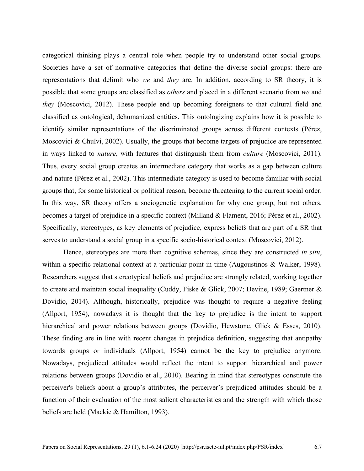categorical thinking plays a central role when people try to understand other social groups. Societies have a set of normative categories that define the diverse social groups: there are representations that delimit who *we* and *they* are. In addition, according to SR theory, it is possible that some groups are classified as *others* and placed in a different scenario from *we* and *they* (Moscovici, 2012). These people end up becoming foreigners to that cultural field and classified as ontological, dehumanized entities. This ontologizing explains how it is possible to identify similar representations of the discriminated groups across different contexts (Pérez, Moscovici & Chulvi, 2002). Usually, the groups that become targets of prejudice are represented in ways linked to *nature*, with features that distinguish them from *culture* (Moscovici, 2011). Thus, every social group creates an intermediate category that works as a gap between culture and nature (Pérez et al., 2002). This intermediate category is used to become familiar with social groups that, for some historical or political reason, become threatening to the current social order. In this way, SR theory offers a sociogenetic explanation for why one group, but not others, becomes a target of prejudice in a specific context (Milland & Flament, 2016; Pérez et al., 2002). Specifically, stereotypes, as key elements of prejudice, express beliefs that are part of a SR that serves to understand a social group in a specific socio-historical context (Moscovici, 2012).

Hence, stereotypes are more than cognitive schemas, since they are constructed *in situ*, within a specific relational context at a particular point in time (Augoustinos & Walker, 1998). Researchers suggest that stereotypical beliefs and prejudice are strongly related, working together to create and maintain social inequality (Cuddy, Fiske & Glick, 2007; Devine, 1989; Gaertner & Dovidio, 2014). Although, historically, prejudice was thought to require a negative feeling (Allport, 1954), nowadays it is thought that the key to prejudice is the intent to support hierarchical and power relations between groups (Dovidio, Hewstone, Glick & Esses, 2010). These finding are in line with recent changes in prejudice definition, suggesting that antipathy towards groups or individuals (Allport, 1954) cannot be the key to prejudice anymore. Nowadays, prejudiced attitudes would reflect the intent to support hierarchical and power relations between groups (Dovidio et al., 2010). Bearing in mind that stereotypes constitute the perceiver's beliefs about a group's attributes, the perceiver's prejudiced attitudes should be a function of their evaluation of the most salient characteristics and the strength with which those beliefs are held (Mackie & Hamilton, 1993).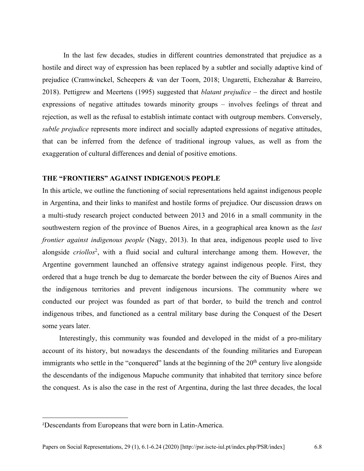In the last few decades, studies in different countries demonstrated that prejudice as a hostile and direct way of expression has been replaced by a subtler and socially adaptive kind of prejudice (Cramwinckel, Scheepers & van der Toorn, 2018; Ungaretti, Etchezahar & Barreiro, 2018). Pettigrew and Meertens (1995) suggested that *blatant prejudice* – the direct and hostile expressions of negative attitudes towards minority groups – involves feelings of threat and rejection, as well as the refusal to establish intimate contact with outgroup members. Conversely, *subtle prejudice* represents more indirect and socially adapted expressions of negative attitudes, that can be inferred from the defence of traditional ingroup values, as well as from the exaggeration of cultural differences and denial of positive emotions.

# **THE "FRONTIERS" AGAINST INDIGENOUS PEOPLE**

In this article, we outline the functioning of social representations held against indigenous people in Argentina, and their links to manifest and hostile forms of prejudice. Our discussion draws on a multi-study research project conducted between 2013 and 2016 in a small community in the southwestern region of the province of Buenos Aires, in a geographical area known as the *last frontier against indigenous people* (Nagy, 2013). In that area, indigenous people used to live alongside *criollos*2, with a fluid social and cultural interchange among them. However, the Argentine government launched an offensive strategy against indigenous people. First, they ordered that a huge trench be dug to demarcate the border between the city of Buenos Aires and the indigenous territories and prevent indigenous incursions. The community where we conducted our project was founded as part of that border, to build the trench and control indigenous tribes, and functioned as a central military base during the Conquest of the Desert some years later.

Interestingly, this community was founded and developed in the midst of a pro-military account of its history, but nowadays the descendants of the founding militaries and European immigrants who settle in the "conquered" lands at the beginning of the 20<sup>th</sup> century live alongside the descendants of the indigenous Mapuche community that inhabited that territory since before the conquest. As is also the case in the rest of Argentina, during the last three decades, the local

<sup>2</sup> Descendants from Europeans that were born in Latin-America.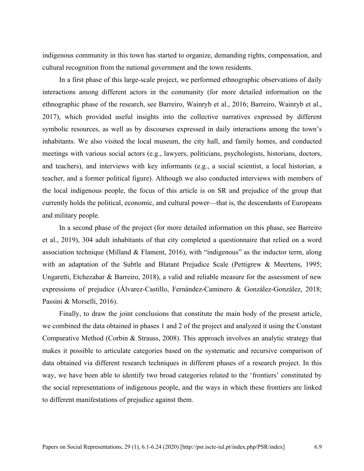indigenous community in this town has started to organize, demanding rights, compensation, and cultural recognition from the national government and the town residents.

In a first phase of this large-scale project, we performed ethnographic observations of daily interactions among different actors in the community (for more detailed information on the ethnographic phase of the research, see Barreiro, Wainryb et al., 2016; Barreiro, Wainryb et al., 2017), which provided useful insights into the collective narratives expressed by different symbolic resources, as well as by discourses expressed in daily interactions among the town's inhabitants. We also visited the local museum, the city hall, and family homes, and conducted meetings with various social actors (e.g., lawyers, politicians, psychologists, historians, doctors, and teachers), and interviews with key informants (e.g., a social scientist, a local historian, a teacher, and a former political figure). Although we also conducted interviews with members of the local indigenous people, the focus of this article is on SR and prejudice of the group that currently holds the political, economic, and cultural power—that is, the descendants of Europeans and military people.

In a second phase of the project (for more detailed information on this phase, see Barreiro et al., 2019), 304 adult inhabitants of that city completed a questionnaire that relied on a word association technique (Milland & Flament, 2016), with "indigenous" as the inductor term, along with an adaptation of the Subtle and Blatant Prejudice Scale (Pettigrew & Meertens, 1995; Ungaretti, Etchezahar & Barreiro, 2018), a valid and reliable measure for the assessment of new expressions of prejudice (Álvarez-Castillo, Fernández-Caminero & González-González, 2018; Passini & Morselli, 2016).

Finally, to draw the joint conclusions that constitute the main body of the present article, we combined the data obtained in phases 1 and 2 of the project and analyzed it using the Constant Comparative Method (Corbin & Strauss, 2008). This approach involves an analytic strategy that makes it possible to articulate categories based on the systematic and recursive comparison of data obtained via different research techniques in different phases of a research project. In this way, we have been able to identify two broad categories related to the 'frontiers' constituted by the social representations of indigenous people, and the ways in which these frontiers are linked to different manifestations of prejudice against them.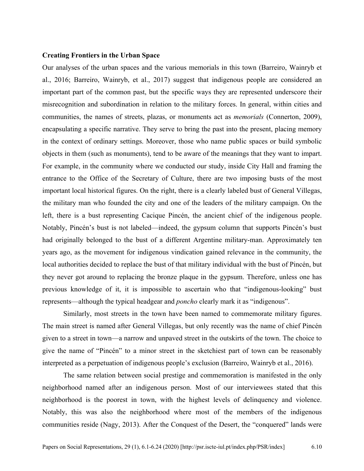## **Creating Frontiers in the Urban Space**

Our analyses of the urban spaces and the various memorials in this town (Barreiro, Wainryb et al., 2016; Barreiro, Wainryb, et al., 2017) suggest that indigenous people are considered an important part of the common past, but the specific ways they are represented underscore their misrecognition and subordination in relation to the military forces. In general, within cities and communities, the names of streets, plazas, or monuments act as *memorials* (Connerton, 2009), encapsulating a specific narrative. They serve to bring the past into the present, placing memory in the context of ordinary settings. Moreover, those who name public spaces or build symbolic objects in them (such as monuments), tend to be aware of the meanings that they want to impart. For example, in the community where we conducted our study, inside City Hall and framing the entrance to the Office of the Secretary of Culture, there are two imposing busts of the most important local historical figures. On the right, there is a clearly labeled bust of General Villegas, the military man who founded the city and one of the leaders of the military campaign. On the left, there is a bust representing Cacique Pincén, the ancient chief of the indigenous people. Notably, Pincén's bust is not labeled—indeed, the gypsum column that supports Pincén's bust had originally belonged to the bust of a different Argentine military-man. Approximately ten years ago, as the movement for indigenous vindication gained relevance in the community, the local authorities decided to replace the bust of that military individual with the bust of Pincén, but they never got around to replacing the bronze plaque in the gypsum. Therefore, unless one has previous knowledge of it, it is impossible to ascertain who that "indigenous-looking" bust represents—although the typical headgear and *poncho* clearly mark it as "indigenous".

Similarly, most streets in the town have been named to commemorate military figures. The main street is named after General Villegas, but only recently was the name of chief Pincén given to a street in town—a narrow and unpaved street in the outskirts of the town. The choice to give the name of "Pincén" to a minor street in the sketchiest part of town can be reasonably interpreted as a perpetuation of indigenous people's exclusion (Barreiro, Wainryb et al., 2016).

The same relation between social prestige and commemoration is manifested in the only neighborhood named after an indigenous person. Most of our interviewees stated that this neighborhood is the poorest in town, with the highest levels of delinquency and violence. Notably, this was also the neighborhood where most of the members of the indigenous communities reside (Nagy, 2013). After the Conquest of the Desert, the "conquered" lands were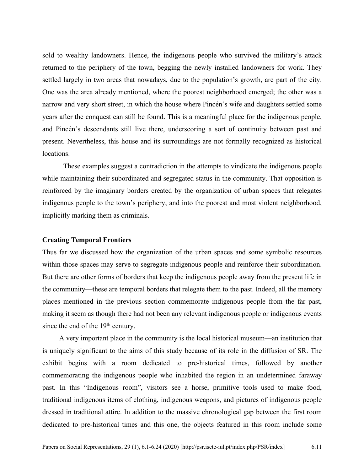sold to wealthy landowners. Hence, the indigenous people who survived the military's attack returned to the periphery of the town, begging the newly installed landowners for work. They settled largely in two areas that nowadays, due to the population's growth, are part of the city. One was the area already mentioned, where the poorest neighborhood emerged; the other was a narrow and very short street, in which the house where Pincén's wife and daughters settled some years after the conquest can still be found. This is a meaningful place for the indigenous people, and Pincén's descendants still live there, underscoring a sort of continuity between past and present. Nevertheless, this house and its surroundings are not formally recognized as historical locations.

These examples suggest a contradiction in the attempts to vindicate the indigenous people while maintaining their subordinated and segregated status in the community. That opposition is reinforced by the imaginary borders created by the organization of urban spaces that relegates indigenous people to the town's periphery, and into the poorest and most violent neighborhood, implicitly marking them as criminals.

#### **Creating Temporal Frontiers**

Thus far we discussed how the organization of the urban spaces and some symbolic resources within those spaces may serve to segregate indigenous people and reinforce their subordination. But there are other forms of borders that keep the indigenous people away from the present life in the community—these are temporal borders that relegate them to the past. Indeed, all the memory places mentioned in the previous section commemorate indigenous people from the far past, making it seem as though there had not been any relevant indigenous people or indigenous events since the end of the  $19<sup>th</sup>$  century.

A very important place in the community is the local historical museum—an institution that is uniquely significant to the aims of this study because of its role in the diffusion of SR. The exhibit begins with a room dedicated to pre-historical times, followed by another commemorating the indigenous people who inhabited the region in an undetermined faraway past. In this "Indigenous room", visitors see a horse, primitive tools used to make food, traditional indigenous items of clothing, indigenous weapons, and pictures of indigenous people dressed in traditional attire. In addition to the massive chronological gap between the first room dedicated to pre-historical times and this one, the objects featured in this room include some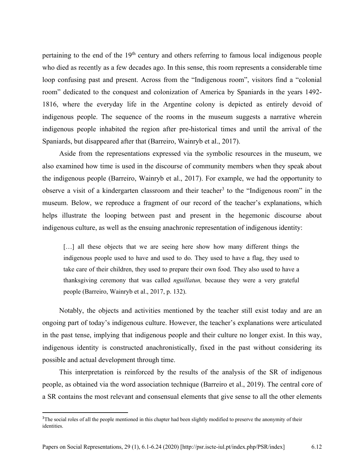pertaining to the end of the 19<sup>th</sup> century and others referring to famous local indigenous people who died as recently as a few decades ago. In this sense, this room represents a considerable time loop confusing past and present. Across from the "Indigenous room", visitors find a "colonial room" dedicated to the conquest and colonization of America by Spaniards in the years 1492- 1816, where the everyday life in the Argentine colony is depicted as entirely devoid of indigenous people. The sequence of the rooms in the museum suggests a narrative wherein indigenous people inhabited the region after pre-historical times and until the arrival of the Spaniards, but disappeared after that (Barreiro, Wainryb et al., 2017).

Aside from the representations expressed via the symbolic resources in the museum, we also examined how time is used in the discourse of community members when they speak about the indigenous people (Barreiro, Wainryb et al., 2017). For example, we had the opportunity to observe a visit of a kindergarten classroom and their teacher<sup>3</sup> to the "Indigenous room" in the museum. Below, we reproduce a fragment of our record of the teacher's explanations, which helps illustrate the looping between past and present in the hegemonic discourse about indigenous culture, as well as the ensuing anachronic representation of indigenous identity:

[...] all these objects that we are seeing here show how many different things the indigenous people used to have and used to do. They used to have a flag, they used to take care of their children, they used to prepare their own food. They also used to have a thanksgiving ceremony that was called *nguillatun,* because they were a very grateful people (Barreiro, Wainryb et al., 2017, p. 132).

Notably, the objects and activities mentioned by the teacher still exist today and are an ongoing part of today's indigenous culture. However, the teacher's explanations were articulated in the past tense, implying that indigenous people and their culture no longer exist. In this way, indigenous identity is constructed anachronistically, fixed in the past without considering its possible and actual development through time.

This interpretation is reinforced by the results of the analysis of the SR of indigenous people, as obtained via the word association technique (Barreiro et al., 2019). The central core of a SR contains the most relevant and consensual elements that give sense to all the other elements

<sup>&</sup>lt;sup>3</sup>The social roles of all the people mentioned in this chapter had been slightly modified to preserve the anonymity of their identities.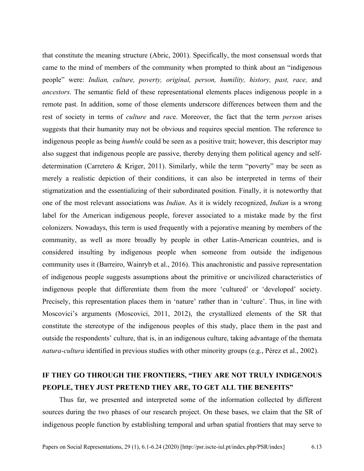that constitute the meaning structure (Abric, 2001). Specifically, the most consensual words that came to the mind of members of the community when prompted to think about an "indigenous people" were: *Indian, culture, poverty, original, person, humility, history, past, race,* and *ancestors.* The semantic field of these representational elements places indigenous people in a remote past. In addition, some of those elements underscore differences between them and the rest of society in terms of *culture* and *rac*e. Moreover, the fact that the term *person* arises suggests that their humanity may not be obvious and requires special mention. The reference to indigenous people as being *humble* could be seen as a positive trait; however, this descriptor may also suggest that indigenous people are passive, thereby denying them political agency and selfdetermination (Carretero & Kriger, 2011). Similarly, while the term "poverty" may be seen as merely a realistic depiction of their conditions, it can also be interpreted in terms of their stigmatization and the essentializing of their subordinated position. Finally, it is noteworthy that one of the most relevant associations was *Indian*. As it is widely recognized, *Indian* is a wrong label for the American indigenous people, forever associated to a mistake made by the first colonizers. Nowadays, this term is used frequently with a pejorative meaning by members of the community, as well as more broadly by people in other Latin-American countries, and is considered insulting by indigenous people when someone from outside the indigenous community uses it (Barreiro, Wainryb et al., 2016). This anachronistic and passive representation of indigenous people suggests assumptions about the primitive or uncivilized characteristics of indigenous people that differentiate them from the more 'cultured' or 'developed' society. Precisely, this representation places them in 'nature' rather than in 'culture'. Thus, in line with Moscovici's arguments (Moscovici, 2011, 2012), the crystallized elements of the SR that constitute the stereotype of the indigenous peoples of this study, place them in the past and outside the respondents' culture, that is, in an indigenous culture, taking advantage of the themata *natura-cultura* identified in previous studies with other minority groups (e.g., Pérez et al., 2002).

# **IF THEY GO THROUGH THE FRONTIERS, "THEY ARE NOT TRULY INDIGENOUS PEOPLE, THEY JUST PRETEND THEY ARE, TO GET ALL THE BENEFITS"**

Thus far, we presented and interpreted some of the information collected by different sources during the two phases of our research project. On these bases, we claim that the SR of indigenous people function by establishing temporal and urban spatial frontiers that may serve to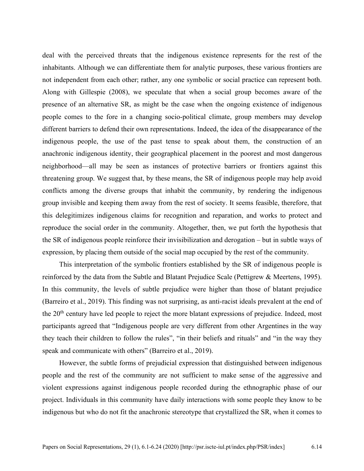deal with the perceived threats that the indigenous existence represents for the rest of the inhabitants. Although we can differentiate them for analytic purposes, these various frontiers are not independent from each other; rather, any one symbolic or social practice can represent both. Along with Gillespie (2008), we speculate that when a social group becomes aware of the presence of an alternative SR, as might be the case when the ongoing existence of indigenous people comes to the fore in a changing socio-political climate, group members may develop different barriers to defend their own representations. Indeed, the idea of the disappearance of the indigenous people, the use of the past tense to speak about them, the construction of an anachronic indigenous identity, their geographical placement in the poorest and most dangerous neighborhood—all may be seen as instances of protective barriers or frontiers against this threatening group. We suggest that, by these means, the SR of indigenous people may help avoid conflicts among the diverse groups that inhabit the community, by rendering the indigenous group invisible and keeping them away from the rest of society. It seems feasible, therefore, that this delegitimizes indigenous claims for recognition and reparation, and works to protect and reproduce the social order in the community. Altogether, then, we put forth the hypothesis that the SR of indigenous people reinforce their invisibilization and derogation – but in subtle ways of expression, by placing them outside of the social map occupied by the rest of the community.

This interpretation of the symbolic frontiers established by the SR of indigenous people is reinforced by the data from the Subtle and Blatant Prejudice Scale (Pettigrew & Meertens, 1995). In this community, the levels of subtle prejudice were higher than those of blatant prejudice (Barreiro et al., 2019). This finding was not surprising, as anti-racist ideals prevalent at the end of the 20th century have led people to reject the more blatant expressions of prejudice. Indeed, most participants agreed that "Indigenous people are very different from other Argentines in the way they teach their children to follow the rules", "in their beliefs and rituals" and "in the way they speak and communicate with others" (Barreiro et al., 2019).

However, the subtle forms of prejudicial expression that distinguished between indigenous people and the rest of the community are not sufficient to make sense of the aggressive and violent expressions against indigenous people recorded during the ethnographic phase of our project. Individuals in this community have daily interactions with some people they know to be indigenous but who do not fit the anachronic stereotype that crystallized the SR, when it comes to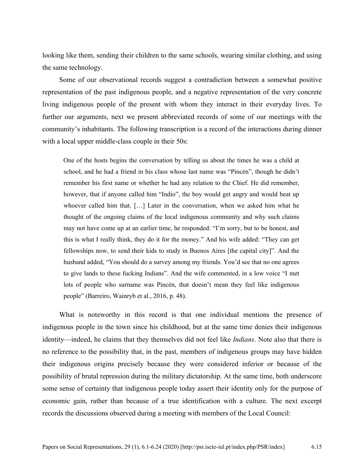looking like them, sending their children to the same schools, wearing similar clothing, and using the same technology.

Some of our observational records suggest a contradiction between a somewhat positive representation of the past indigenous people, and a negative representation of the very concrete living indigenous people of the present with whom they interact in their everyday lives. To further our arguments, next we present abbreviated records of some of our meetings with the community's inhabitants. The following transcription is a record of the interactions during dinner with a local upper middle-class couple in their 50s:

One of the hosts begins the conversation by telling us about the times he was a child at school, and he had a friend in his class whose last name was "Pincén", though he didn't remember his first name or whether he had any relation to the Chief. He did remember, however, that if anyone called him "Indio", the boy would get angry and would beat up whoever called him that. […] Later in the conversation, when we asked him what he thought of the ongoing claims of the local indigenous community and why such claims may not have come up at an earlier time, he responded: "I'm sorry, but to be honest, and this is what I really think, they do it for the money." And his wife added: "They can get fellowships now, to send their kids to study in Buenos Aires [the capital city]". And the husband added, "You should do a survey among my friends. You'd see that no one agrees to give lands to these fucking Indians". And the wife commented, in a low voice "I met lots of people who surname was Pincén, that doesn't mean they feel like indigenous people" (Barreiro, Wainryb et al., 2016, p. 48).

What is noteworthy in this record is that one individual mentions the presence of indigenous people in the town since his childhood, but at the same time denies their indigenous identity—indeed, he claims that they themselves did not feel like *Indians*. Note also that there is no reference to the possibility that, in the past, members of indigenous groups may have hidden their indigenous origins precisely because they were considered inferior or because of the possibility of brutal repression during the military dictatorship. At the same time, both underscore some sense of certainty that indigenous people today assert their identity only for the purpose of economic gain, rather than because of a true identification with a culture. The next excerpt records the discussions observed during a meeting with members of the Local Council: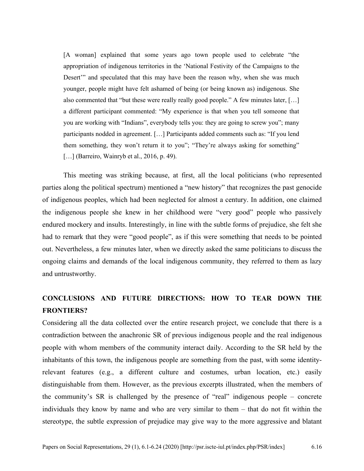[A woman] explained that some years ago town people used to celebrate "the appropriation of indigenous territories in the 'National Festivity of the Campaigns to the Desert'" and speculated that this may have been the reason why, when she was much younger, people might have felt ashamed of being (or being known as) indigenous. She also commented that "but these were really really good people." A few minutes later, […] a different participant commented: "My experience is that when you tell someone that you are working with "Indians", everybody tells you: they are going to screw you"; many participants nodded in agreement. […] Participants added comments such as: "If you lend them something, they won't return it to you"; "They're always asking for something" [...] (Barreiro, Wainryb et al., 2016, p. 49).

This meeting was striking because, at first, all the local politicians (who represented parties along the political spectrum) mentioned a "new history" that recognizes the past genocide of indigenous peoples, which had been neglected for almost a century. In addition, one claimed the indigenous people she knew in her childhood were "very good" people who passively endured mockery and insults. Interestingly, in line with the subtle forms of prejudice, she felt she had to remark that they were "good people", as if this were something that needs to be pointed out. Nevertheless, a few minutes later, when we directly asked the same politicians to discuss the ongoing claims and demands of the local indigenous community, they referred to them as lazy and untrustworthy.

# **CONCLUSIONS AND FUTURE DIRECTIONS: HOW TO TEAR DOWN THE FRONTIERS?**

Considering all the data collected over the entire research project, we conclude that there is a contradiction between the anachronic SR of previous indigenous people and the real indigenous people with whom members of the community interact daily. According to the SR held by the inhabitants of this town, the indigenous people are something from the past, with some identityrelevant features (e.g., a different culture and costumes, urban location, etc.) easily distinguishable from them. However, as the previous excerpts illustrated, when the members of the community's SR is challenged by the presence of "real" indigenous people – concrete individuals they know by name and who are very similar to them – that do not fit within the stereotype, the subtle expression of prejudice may give way to the more aggressive and blatant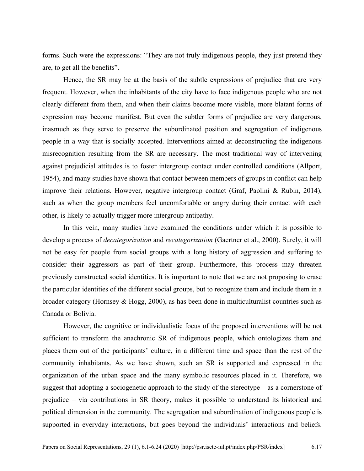forms. Such were the expressions: "They are not truly indigenous people, they just pretend they are, to get all the benefits".

Hence, the SR may be at the basis of the subtle expressions of prejudice that are very frequent. However, when the inhabitants of the city have to face indigenous people who are not clearly different from them, and when their claims become more visible, more blatant forms of expression may become manifest. But even the subtler forms of prejudice are very dangerous, inasmuch as they serve to preserve the subordinated position and segregation of indigenous people in a way that is socially accepted. Interventions aimed at deconstructing the indigenous misrecognition resulting from the SR are necessary. The most traditional way of intervening against prejudicial attitudes is to foster intergroup contact under controlled conditions (Allport, 1954), and many studies have shown that contact between members of groups in conflict can help improve their relations. However, negative intergroup contact (Graf, Paolini & Rubin, 2014), such as when the group members feel uncomfortable or angry during their contact with each other, is likely to actually trigger more intergroup antipathy.

In this vein, many studies have examined the conditions under which it is possible to develop a process of *decategorization* and *recategorization* (Gaertner et al., 2000). Surely, it will not be easy for people from social groups with a long history of aggression and suffering to consider their aggressors as part of their group. Furthermore, this process may threaten previously constructed social identities. It is important to note that we are not proposing to erase the particular identities of the different social groups, but to recognize them and include them in a broader category (Hornsey & Hogg, 2000), as has been done in multiculturalist countries such as Canada or Bolivia.

However, the cognitive or individualistic focus of the proposed interventions will be not sufficient to transform the anachronic SR of indigenous people, which ontologizes them and places them out of the participants' culture, in a different time and space than the rest of the community inhabitants. As we have shown, such an SR is supported and expressed in the organization of the urban space and the many symbolic resources placed in it. Therefore, we suggest that adopting a sociogenetic approach to the study of the stereotype – as a cornerstone of prejudice – via contributions in SR theory, makes it possible to understand its historical and political dimension in the community. The segregation and subordination of indigenous people is supported in everyday interactions, but goes beyond the individuals' interactions and beliefs.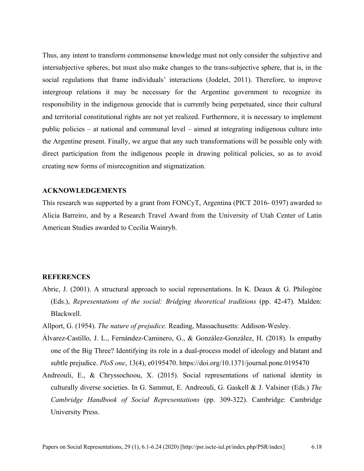Thus, any intent to transform commonsense knowledge must not only consider the subjective and intersubjective spheres, but must also make changes to the trans-subjective sphere, that is, in the social regulations that frame individuals' interactions (Jodelet, 2011). Therefore, to improve intergroup relations it may be necessary for the Argentine government to recognize its responsibility in the indigenous genocide that is currently being perpetuated, since their cultural and territorial constitutional rights are not yet realized. Furthermore, it is necessary to implement public policies – at national and communal level – aimed at integrating indigenous culture into the Argentine present. Finally, we argue that any such transformations will be possible only with direct participation from the indigenous people in drawing political policies, so as to avoid creating new forms of misrecognition and stigmatization.

## **ACKNOWLEDGEMENTS**

This research was supported by a grant from FONCyT, Argentina (PICT 2016- 0397) awarded to Alicia Barreiro, and by a Research Travel Award from the University of Utah Center of Latin American Studies awarded to Cecilia Wainryb.

#### **REFERENCES**

- Abric, J. (2001). A structural approach to social representations. In K. Deaux & G. Philogène (Eds.), *Representations of the social: Bridging theoretical traditions* (pp. 42-47). Malden: Blackwell.
- Allport, G. (1954). *The nature of prejudice*. Reading, Massachusetts: Addison-Wesley.
- Álvarez-Castillo, J. L., Fernández-Caminero, G., & González-González, H. (2018). Is empathy one of the Big Three? Identifying its role in a dual-process model of ideology and blatant and subtle prejudice. *PloS one*, 13(4), e0195470. https://doi.org/10.1371/journal.pone.0195470
- Andreouli, E., & Chryssochoou, X. (2015). Social representations of national identity in culturally diverse societies. In G. Sammut, E. Andreouli, G. Gaskell & J. Valsiner (Eds.) *The Cambridge Handbook of Social Representations* (pp. 309-322). Cambridge: Cambridge University Press.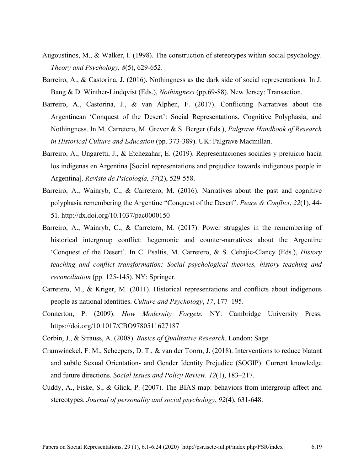- Augoustinos, M., & Walker, I. (1998). The construction of stereotypes within social psychology. *Theory and Psychology, 8*(5), 629-652.
- Barreiro, A., & Castorina, J. (2016). Nothingness as the dark side of social representations. In J. Bang & D. Winther-Lindqvist (Eds.), *Nothingness* (pp.69-88). New Jersey: Transaction.
- Barreiro, A., Castorina, J., & van Alphen, F. (2017). Conflicting Narratives about the Argentinean 'Conquest of the Desert': Social Representations, Cognitive Polyphasia, and Nothingness. In M. Carretero, M. Grever & S. Berger (Eds.), *Palgrave Handbook of Research in Historical Culture and Education* (pp. 373-389). UK: Palgrave Macmillan.
- Barreiro, A., Ungaretti, J., & Etchezahar, E. (2019). Representaciones sociales y prejuicio hacia los indígenas en Argentina [Social representations and prejudice towards indigenous people in Argentina]. *Revista de Psicología, 37*(2), 529-558.
- Barreiro, A., Wainryb, C., & Carretero, M. (2016). Narratives about the past and cognitive polyphasia remembering the Argentine "Conquest of the Desert". *Peace & Conflict*, *22*(1), 44- 51. http://dx.doi.org/10.1037/pac0000150
- Barreiro, A., Wainryb, C., & Carretero, M. (2017). Power struggles in the remembering of historical intergroup conflict: hegemonic and counter-narratives about the Argentine 'Conquest of the Desert'. In C. Psaltis, M. Carretero, & S. Cehajic-Clancy (Eds.), *History teaching and conflict transformation: Social psychological theories, history teaching and reconciliation* (pp. 125-145). NY: Springer.
- Carretero, M., & Kriger, M. (2011). Historical representations and conflicts about indigenous people as national identities. *Culture and Psychology*, *17*, 177–195.
- Connerton, P. (2009). *How Modernity Forgets.* NY: Cambridge University Press. https://doi.org/10.1017/CBO9780511627187
- Corbin, J., & Strauss, A. (2008). *Basics of Qualitative Research*. London: Sage.
- Cramwinckel, F. M., Scheepers, D. T., & van der Toorn, J. (2018). Interventions to reduce blatant and subtle Sexual Orientation- and Gender Identity Prejudice (SOGIP): Current knowledge and future directions. *Social Issues and Policy Review, 12*(1), 183–217.
- Cuddy, A., Fiske, S., & Glick, P. (2007). The BIAS map: behaviors from intergroup affect and stereotypes. *Journal of personality and social psychology*, *92*(4), 631-648.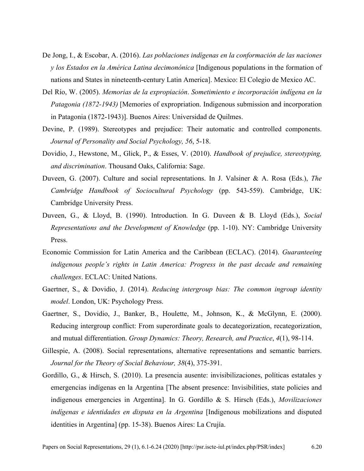- De Jong, I., & Escobar, A. (2016). *Las poblaciones indígenas en la conformación de las naciones y los Estados en la América Latina decimonónica* [Indigenous populations in the formation of nations and States in nineteenth-century Latin America]. Mexico: El Colegio de Mexico AC.
- Del Río, W. (2005). *Memorias de la expropiación*. *Sometimiento e incorporación indígena en la Patagonia (1872-1943)* [Memories of expropriation. Indigenous submission and incorporation in Patagonia (1872-1943)]. Buenos Aires: Universidad de Quilmes.
- Devine, P. (1989). Stereotypes and prejudice: Their automatic and controlled components. *Journal of Personality and Social Psychology, 56*, 5-18.
- Dovidio, J., Hewstone, M., Glick, P., & Esses, V. (2010). *Handbook of prejudice, stereotyping, and discrimination*. Thousand Oaks, California: Sage.
- Duveen, G. (2007). Culture and social representations. In J. Valsiner & A. Rosa (Eds.), *The Cambridge Handbook of Sociocultural Psychology* (pp. 543-559). Cambridge, UK: Cambridge University Press.
- Duveen, G., & Lloyd, B. (1990). Introduction*.* In G. Duveen & B. Lloyd (Eds.), *Social Representations and the Development of Knowledge* (pp. 1-10). NY: Cambridge University Press.
- Economic Commission for Latin America and the Caribbean (ECLAC). (2014). *Guaranteeing indigenous people's rights in Latin America: Progress in the past decade and remaining challenges*. ECLAC: United Nations.
- Gaertner, S., & Dovidio, J. (2014). *Reducing intergroup bias: The common ingroup identity model*. London, UK: Psychology Press.
- Gaertner, S., Dovidio, J., Banker, B., Houlette, M., Johnson, K., & McGlynn, E. (2000). Reducing intergroup conflict: From superordinate goals to decategorization, recategorization, and mutual differentiation. *Group Dynamics: Theory, Research, and Practice*, *4*(1), 98-114.
- Gillespie, A. (2008). Social representations, alternative representations and semantic barriers. *Journal for the Theory of Social Behaviour, 38*(4), 375-391.
- Gordillo, G., & Hirsch, S. (2010). La presencia ausente: invisibilizaciones, políticas estatales y emergencias indígenas en la Argentina [The absent presence: Invisibilities, state policies and indigenous emergencies in Argentina]. In G. Gordillo & S. Hirsch (Eds.), *Movilizaciones indígenas e identidades en disputa en la Argentina* [Indigenous mobilizations and disputed identities in Argentina] (pp. 15-38). Buenos Aires: La Crujía.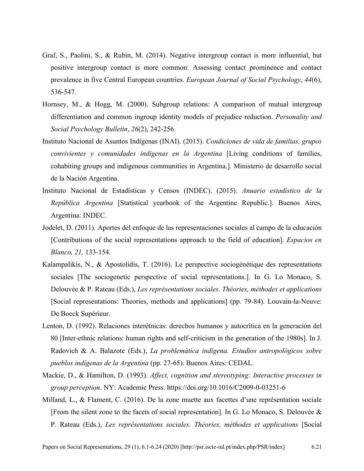- Graf, S., Paolini, S., & Rubin, M. (2014). Negative intergroup contact is more influential, but positive intergroup contact is more common: Assessing contact prominence and contact prevalence in five Central European countries. *European Journal of Social Psychology*, *44*(6), 536-547.
- Hornsey, M., & Hogg, M. (2000). Subgroup relations: A comparison of mutual intergroup differentiation and common ingroup identity models of prejudice reduction. *Personality and Social Psychology Bulletin*, *26*(2), 242-256.
- Instituto Nacional de Asuntos Indígenas (INAI). (2015). *Condiciones de vida de familias, grupos convivientes y comunidades indígenas en la Argentina* [Living conditions of families, cohabiting groups and indigenous communities in Argentina.]*.* Ministerio de desarrollo social de la Nación Argentina.
- Instituto Nacional de Estadísticas y Censos (INDEC). (2015). *Anuario estadístico de la República Argentina* [Statistical yearbook of the Argentine Republic.]. Buenos Aires, Argentina: INDEC.
- Jodelet, D. (2011). Aportes del enfoque de las representaciones sociales al campo de la educación [Contributions of the social representations approach to the field of education]. *Espacios en Blanco, 21,* 133-154.
- Kalampalikis, N., & Apostolidis, T. (2016). Le perspective sociogénétique des representations sociales [The sociogenetic perspective of social representations.]. In G. Lo Monaco, S. Delouvée & P. Rateau (Eds.), *Les représentations sociales. Théories, méthodes et applications* [Social representations: Theories, methods and applications] (pp. 79-84). Louvain-la-Neuve: De Boeck Supérieur.
- Lenton, D. (1992). Relaciones interétnicas: derechos humanos y autocrítica en la generación del 80 [Inter-ethnic relations: human rights and self-criticism in the generation of the 1980s]. In J. Radovich & A. Balazote (Eds.), *La problemática indígena. Estudios antropológicos sobre pueblos indígenas de la Argentina* (pp. 27-65). Buenos Aires: CEDAL.
- Mackie, D., & Hamilton, D. (1993). *Affect, cognition and stereotyping: Interactive processes in group perception*. NY: Academic Press. https://doi.org/10.1016/C2009-0-03251-6
- Milland, L., & Flament, C. (2016). De la zone muette aux facettes d'une représentation sociale [From the silent zone to the facets of social representation]. In G. Lo Monaco, S. Delouvée & P. Rateau (Eds.), *Les représentations sociales. Théories, méthodes et applications* [Social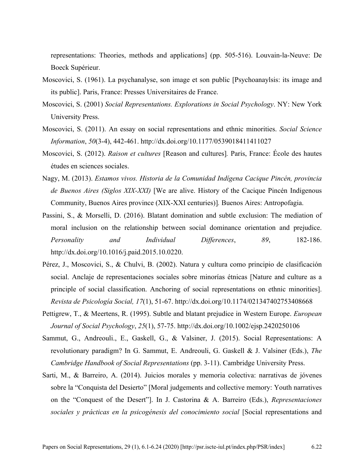representations: Theories, methods and applications] (pp. 505-516). Louvain-la-Neuve: De Boeck Supérieur.

- Moscovici, S. (1961). La psychanalyse, son image et son public [Psychoanaylsis: its image and its public]. Paris, France: Presses Universitaires de France.
- Moscovici, S. (2001) *Social Representations. Explorations in Social Psychology*. NY: New York University Press.
- Moscovici, S. (2011). An essay on social representations and ethnic minorities. *Social Science Information*, *50*(3-4), 442-461. http://dx.doi.org/10.1177/0539018411411027
- Moscovici, S. (2012). *Raison et cultures* [Reason and cultures]*.* Paris, France: École des hautes études en sciences sociales.
- Nagy, M. (2013). *Estamos vivos. Historia de la Comunidad Indígena Cacique Pincén, provincia de Buenos Aires (Siglos XIX-XXI)* [We are alive. History of the Cacique Pincén Indigenous Community, Buenos Aires province (XIX-XXI centuries)]*.* Buenos Aires: Antropofagia.
- Passini, S., & Morselli, D. (2016). Blatant domination and subtle exclusion: The mediation of moral inclusion on the relationship between social dominance orientation and prejudice. *Personality and Individual Differences*, *89*, 182-186. http://dx.doi.org/10.1016/j.paid.2015.10.0220.
- Pérez, J., Moscovici, S., & Chulvi, B. (2002). Natura y cultura como principio de clasificación social. Anclaje de representaciones sociales sobre minorías étnicas [Nature and culture as a principle of social classification. Anchoring of social representations on ethnic minorities]. *Revista de Psicología Social, 17*(1), 51-67. http://dx.doi.org/10.1174/021347402753408668
- Pettigrew, T., & Meertens, R. (1995). Subtle and blatant prejudice in Western Europe. *European Journal of Social Psychology*, *25*(1), 57-75. http://dx.doi.org/10.1002/ejsp.2420250106
- Sammut, G., Andreouli., E., Gaskell, G., & Valsiner, J. (2015). Social Representations: A revolutionary paradigm? In G. Sammut, E. Andreouli, G. Gaskell & J. Valsiner (Eds.), *The Cambridge Handbook of Social Representations* (pp. 3-11). Cambridge University Press.
- Sarti, M., & Barreiro, A. (2014). Juicios morales y memoria colectiva: narrativas de jóvenes sobre la "Conquista del Desierto" [Moral judgements and collective memory: Youth narratives on the "Conquest of the Desert"]. In J. Castorina & A. Barreiro (Eds.), *Representaciones sociales y prácticas en la psicogénesis del conocimiento social* [Social representations and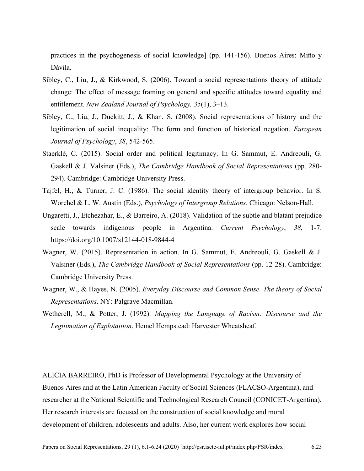practices in the psychogenesis of social knowledge] (pp. 141-156). Buenos Aires: Miño y Dávila.

- Sibley, C., Liu, J., & Kirkwood, S. (2006). Toward a social representations theory of attitude change: The effect of message framing on general and specific attitudes toward equality and entitlement. *New Zealand Journal of Psychology, 35*(1), 3–13.
- Sibley, C., Liu, J., Duckitt, J., & Khan, S. (2008). Social representations of history and the legitimation of social inequality: The form and function of historical negation. *European Journal of Psychology*, *38*, 542-565.
- Staerklé, C. (2015). Social order and political legitimacy. In G. Sammut, E. Andreouli, G. Gaskell & J. Valsiner (Eds.), *The Cambridge Handbook of Social Representations* (pp. 280- 294). Cambridge: Cambridge University Press.
- Tajfel, H., & Turner, J. C. (1986). The social identity theory of intergroup behavior. In S. Worchel & L. W. Austin (Eds.), *Psychology of Intergroup Relations*. Chicago: Nelson-Hall.
- Ungaretti, J., Etchezahar, E., & Barreiro, A. (2018). Validation of the subtle and blatant prejudice scale towards indigenous people in Argentina. *Current Psychology*, *38*, 1-7. https://doi.org/10.1007/s12144-018-9844-4
- Wagner, W. (2015). Representation in action. In G. Sammut, E. Andreouli, G. Gaskell & J. Valsiner (Eds.), *The Cambridge Handbook of Social Representations* (pp. 12-28). Cambridge: Cambridge University Press.
- Wagner, W., & Hayes, N. (2005). *Everyday Discourse and Common Sense. The theory of Social Representations*. NY: Palgrave Macmillan.
- Wetherell, M., & Potter, J. (1992). *Mapping the Language of Racism: Discourse and the Legitimation of Explotaition*. Hemel Hempstead: Harvester Wheatsheaf.

ALICIA BARREIRO, PhD is Professor of Developmental Psychology at the University of Buenos Aires and at the Latin American Faculty of Social Sciences (FLACSO-Argentina), and researcher at the National Scientific and Technological Research Council (CONICET-Argentina). Her research interests are focused on the construction of social knowledge and moral development of children, adolescents and adults. Also, her current work explores how social